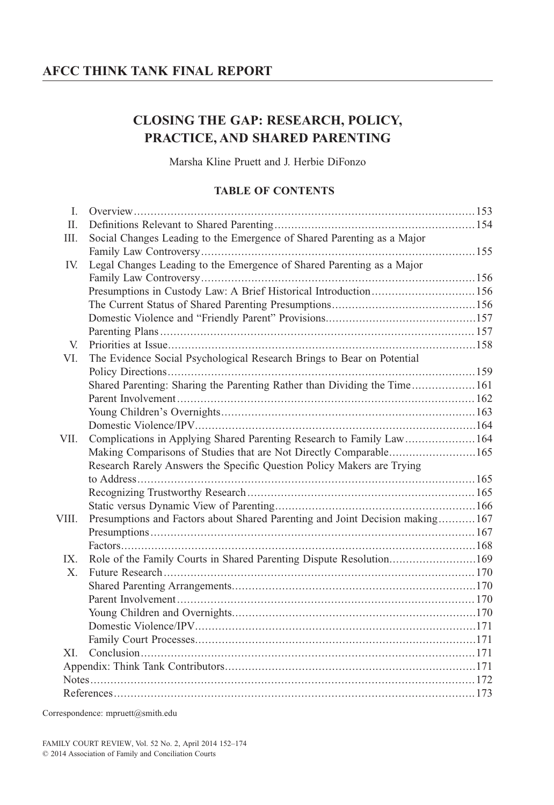# **CLOSING THE GAP: RESEARCH, POLICY, PRACTICE, AND SHARED PARENTING**

Marsha Kline Pruett and J. Herbie DiFonzo

# **TABLE OF CONTENTS**

| I.    |                                                                               |  |
|-------|-------------------------------------------------------------------------------|--|
| Π.    |                                                                               |  |
| III.  | Social Changes Leading to the Emergence of Shared Parenting as a Major        |  |
|       |                                                                               |  |
| IV.   | Legal Changes Leading to the Emergence of Shared Parenting as a Major         |  |
|       |                                                                               |  |
|       | Presumptions in Custody Law: A Brief Historical Introduction 156              |  |
|       |                                                                               |  |
|       |                                                                               |  |
|       |                                                                               |  |
| V.    |                                                                               |  |
| VI.   | The Evidence Social Psychological Research Brings to Bear on Potential        |  |
|       |                                                                               |  |
|       | Shared Parenting: Sharing the Parenting Rather than Dividing the Time 161     |  |
|       |                                                                               |  |
|       |                                                                               |  |
|       |                                                                               |  |
| VII.  | Complications in Applying Shared Parenting Research to Family Law 164         |  |
|       | Making Comparisons of Studies that are Not Directly Comparable165             |  |
|       | Research Rarely Answers the Specific Question Policy Makers are Trying        |  |
|       |                                                                               |  |
|       |                                                                               |  |
|       |                                                                               |  |
| VIII. | Presumptions and Factors about Shared Parenting and Joint Decision making 167 |  |
|       |                                                                               |  |
|       |                                                                               |  |
| IX.   | Role of the Family Courts in Shared Parenting Dispute Resolution169           |  |
| X.    |                                                                               |  |
|       |                                                                               |  |
|       |                                                                               |  |
|       |                                                                               |  |
|       |                                                                               |  |
|       |                                                                               |  |
| XI.   |                                                                               |  |
|       |                                                                               |  |
|       |                                                                               |  |
|       |                                                                               |  |
|       |                                                                               |  |

Correspondence: mpruett@smith.edu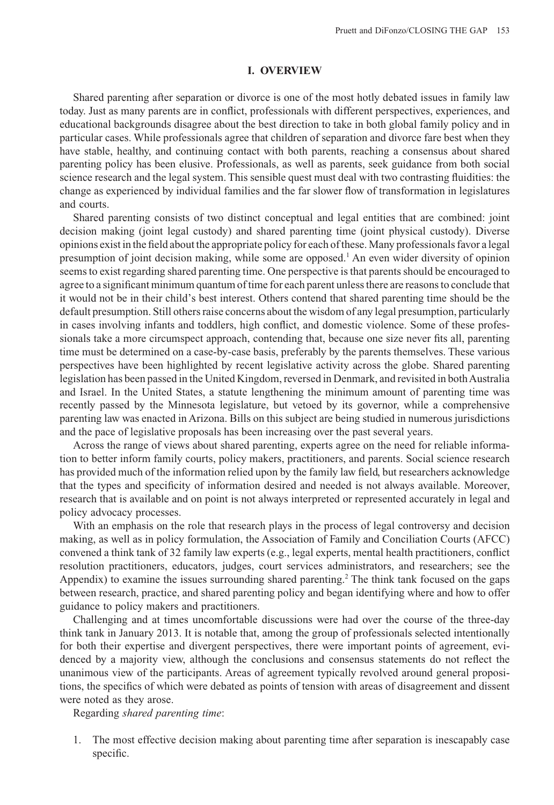#### **I. OVERVIEW**

Shared parenting after separation or divorce is one of the most hotly debated issues in family law today. Just as many parents are in conflict, professionals with different perspectives, experiences, and educational backgrounds disagree about the best direction to take in both global family policy and in particular cases. While professionals agree that children of separation and divorce fare best when they have stable, healthy, and continuing contact with both parents, reaching a consensus about shared parenting policy has been elusive. Professionals, as well as parents, seek guidance from both social science research and the legal system. This sensible quest must deal with two contrasting fluidities: the change as experienced by individual families and the far slower flow of transformation in legislatures and courts.

Shared parenting consists of two distinct conceptual and legal entities that are combined: joint decision making (joint legal custody) and shared parenting time (joint physical custody). Diverse opinions exist in the field about the appropriate policy for each of these. Many professionals favor a legal presumption of joint decision making, while some are opposed.1 An even wider diversity of opinion seems to exist regarding shared parenting time. One perspective is that parents should be encouraged to agree to a significant minimum quantum of time for each parent unless there are reasons to conclude that it would not be in their child's best interest. Others contend that shared parenting time should be the default presumption. Still others raise concerns about the wisdom of any legal presumption, particularly in cases involving infants and toddlers, high conflict, and domestic violence. Some of these professionals take a more circumspect approach, contending that, because one size never fits all, parenting time must be determined on a case-by-case basis, preferably by the parents themselves. These various perspectives have been highlighted by recent legislative activity across the globe. Shared parenting legislation has been passed in the United Kingdom, reversed in Denmark, and revisited in both Australia and Israel. In the United States, a statute lengthening the minimum amount of parenting time was recently passed by the Minnesota legislature, but vetoed by its governor, while a comprehensive parenting law was enacted in Arizona. Bills on this subject are being studied in numerous jurisdictions and the pace of legislative proposals has been increasing over the past several years.

Across the range of views about shared parenting, experts agree on the need for reliable information to better inform family courts, policy makers, practitioners, and parents. Social science research has provided much of the information relied upon by the family law field, but researchers acknowledge that the types and specificity of information desired and needed is not always available. Moreover, research that is available and on point is not always interpreted or represented accurately in legal and policy advocacy processes.

With an emphasis on the role that research plays in the process of legal controversy and decision making, as well as in policy formulation, the Association of Family and Conciliation Courts (AFCC) convened a think tank of 32 family law experts (e.g., legal experts, mental health practitioners, conflict resolution practitioners, educators, judges, court services administrators, and researchers; see the Appendix) to examine the issues surrounding shared parenting.<sup>2</sup> The think tank focused on the gaps between research, practice, and shared parenting policy and began identifying where and how to offer guidance to policy makers and practitioners.

Challenging and at times uncomfortable discussions were had over the course of the three-day think tank in January 2013. It is notable that, among the group of professionals selected intentionally for both their expertise and divergent perspectives, there were important points of agreement, evidenced by a majority view, although the conclusions and consensus statements do not reflect the unanimous view of the participants. Areas of agreement typically revolved around general propositions, the specifics of which were debated as points of tension with areas of disagreement and dissent were noted as they arose.

Regarding *shared parenting time*:

1. The most effective decision making about parenting time after separation is inescapably case specific.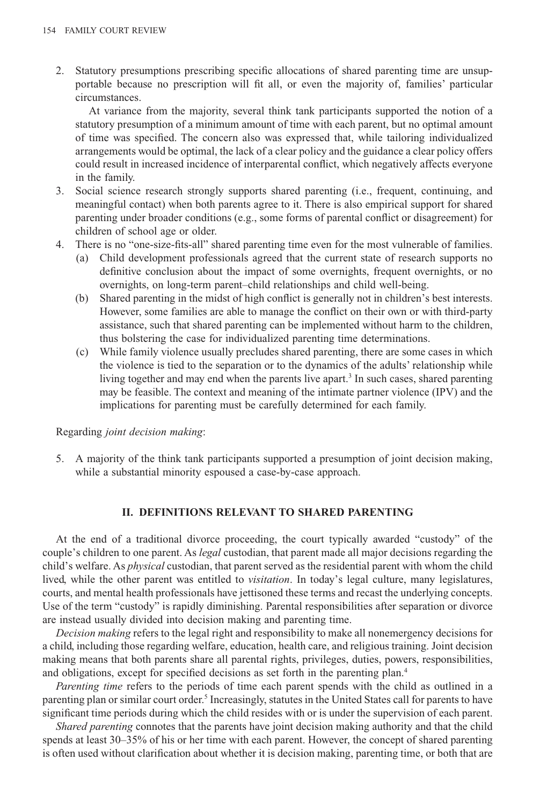2. Statutory presumptions prescribing specific allocations of shared parenting time are unsupportable because no prescription will fit all, or even the majority of, families' particular circumstances.

At variance from the majority, several think tank participants supported the notion of a statutory presumption of a minimum amount of time with each parent, but no optimal amount of time was specified. The concern also was expressed that, while tailoring individualized arrangements would be optimal, the lack of a clear policy and the guidance a clear policy offers could result in increased incidence of interparental conflict, which negatively affects everyone in the family.

- 3. Social science research strongly supports shared parenting (i.e., frequent, continuing, and meaningful contact) when both parents agree to it. There is also empirical support for shared parenting under broader conditions (e.g., some forms of parental conflict or disagreement) for children of school age or older.
- 4. There is no "one-size-fits-all" shared parenting time even for the most vulnerable of families.
	- (a) Child development professionals agreed that the current state of research supports no definitive conclusion about the impact of some overnights, frequent overnights, or no overnights, on long-term parent–child relationships and child well-being.
	- (b) Shared parenting in the midst of high conflict is generally not in children's best interests. However, some families are able to manage the conflict on their own or with third-party assistance, such that shared parenting can be implemented without harm to the children, thus bolstering the case for individualized parenting time determinations.
	- (c) While family violence usually precludes shared parenting, there are some cases in which the violence is tied to the separation or to the dynamics of the adults' relationship while living together and may end when the parents live apart.<sup>3</sup> In such cases, shared parenting may be feasible. The context and meaning of the intimate partner violence (IPV) and the implications for parenting must be carefully determined for each family.

#### Regarding *joint decision making*:

5. A majority of the think tank participants supported a presumption of joint decision making, while a substantial minority espoused a case-by-case approach.

### **II. DEFINITIONS RELEVANT TO SHARED PARENTING**

At the end of a traditional divorce proceeding, the court typically awarded "custody" of the couple's children to one parent. As *legal* custodian, that parent made all major decisions regarding the child's welfare. As *physical* custodian, that parent served as the residential parent with whom the child lived, while the other parent was entitled to *visitation*. In today's legal culture, many legislatures, courts, and mental health professionals have jettisoned these terms and recast the underlying concepts. Use of the term "custody" is rapidly diminishing. Parental responsibilities after separation or divorce are instead usually divided into decision making and parenting time.

*Decision making* refers to the legal right and responsibility to make all nonemergency decisions for a child, including those regarding welfare, education, health care, and religious training. Joint decision making means that both parents share all parental rights, privileges, duties, powers, responsibilities, and obligations, except for specified decisions as set forth in the parenting plan.<sup>4</sup>

*Parenting time* refers to the periods of time each parent spends with the child as outlined in a parenting plan or similar court order.<sup>5</sup> Increasingly, statutes in the United States call for parents to have significant time periods during which the child resides with or is under the supervision of each parent.

*Shared parenting* connotes that the parents have joint decision making authority and that the child spends at least 30–35% of his or her time with each parent. However, the concept of shared parenting is often used without clarification about whether it is decision making, parenting time, or both that are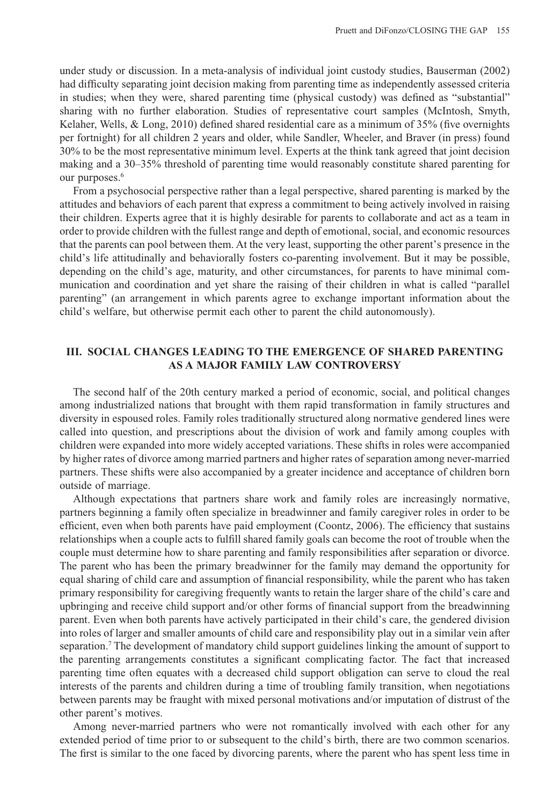under study or discussion. In a meta-analysis of individual joint custody studies, Bauserman (2002) had difficulty separating joint decision making from parenting time as independently assessed criteria in studies; when they were, shared parenting time (physical custody) was defined as "substantial" sharing with no further elaboration. Studies of representative court samples (McIntosh, Smyth, Kelaher, Wells, & Long, 2010) defined shared residential care as a minimum of 35% (five overnights per fortnight) for all children 2 years and older, while Sandler, Wheeler, and Braver (in press) found 30% to be the most representative minimum level. Experts at the think tank agreed that joint decision making and a 30–35% threshold of parenting time would reasonably constitute shared parenting for our purposes.<sup>6</sup>

From a psychosocial perspective rather than a legal perspective, shared parenting is marked by the attitudes and behaviors of each parent that express a commitment to being actively involved in raising their children. Experts agree that it is highly desirable for parents to collaborate and act as a team in order to provide children with the fullest range and depth of emotional, social, and economic resources that the parents can pool between them. At the very least, supporting the other parent's presence in the child's life attitudinally and behaviorally fosters co-parenting involvement. But it may be possible, depending on the child's age, maturity, and other circumstances, for parents to have minimal communication and coordination and yet share the raising of their children in what is called "parallel parenting" (an arrangement in which parents agree to exchange important information about the child's welfare, but otherwise permit each other to parent the child autonomously).

# **III. SOCIAL CHANGES LEADING TO THE EMERGENCE OF SHARED PARENTING AS A MAJOR FAMILY LAW CONTROVERSY**

The second half of the 20th century marked a period of economic, social, and political changes among industrialized nations that brought with them rapid transformation in family structures and diversity in espoused roles. Family roles traditionally structured along normative gendered lines were called into question, and prescriptions about the division of work and family among couples with children were expanded into more widely accepted variations. These shifts in roles were accompanied by higher rates of divorce among married partners and higher rates of separation among never-married partners. These shifts were also accompanied by a greater incidence and acceptance of children born outside of marriage.

Although expectations that partners share work and family roles are increasingly normative, partners beginning a family often specialize in breadwinner and family caregiver roles in order to be efficient, even when both parents have paid employment (Coontz, 2006). The efficiency that sustains relationships when a couple acts to fulfill shared family goals can become the root of trouble when the couple must determine how to share parenting and family responsibilities after separation or divorce. The parent who has been the primary breadwinner for the family may demand the opportunity for equal sharing of child care and assumption of financial responsibility, while the parent who has taken primary responsibility for caregiving frequently wants to retain the larger share of the child's care and upbringing and receive child support and/or other forms of financial support from the breadwinning parent. Even when both parents have actively participated in their child's care, the gendered division into roles of larger and smaller amounts of child care and responsibility play out in a similar vein after separation.<sup>7</sup> The development of mandatory child support guidelines linking the amount of support to the parenting arrangements constitutes a significant complicating factor. The fact that increased parenting time often equates with a decreased child support obligation can serve to cloud the real interests of the parents and children during a time of troubling family transition, when negotiations between parents may be fraught with mixed personal motivations and/or imputation of distrust of the other parent's motives.

Among never-married partners who were not romantically involved with each other for any extended period of time prior to or subsequent to the child's birth, there are two common scenarios. The first is similar to the one faced by divorcing parents, where the parent who has spent less time in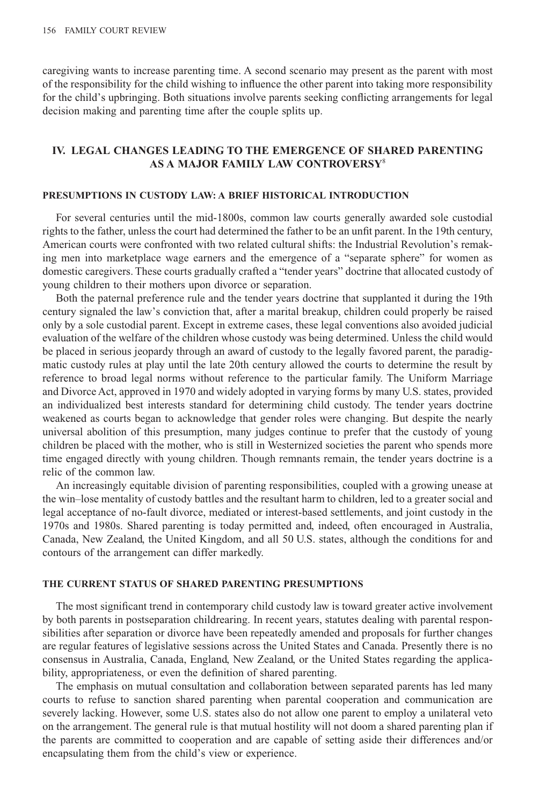caregiving wants to increase parenting time. A second scenario may present as the parent with most of the responsibility for the child wishing to influence the other parent into taking more responsibility for the child's upbringing. Both situations involve parents seeking conflicting arrangements for legal decision making and parenting time after the couple splits up.

### **IV. LEGAL CHANGES LEADING TO THE EMERGENCE OF SHARED PARENTING AS A MAJOR FAMILY LAW CONTROVERSY**<sup>8</sup>

#### **PRESUMPTIONS IN CUSTODY LAW: A BRIEF HISTORICAL INTRODUCTION**

For several centuries until the mid-1800s, common law courts generally awarded sole custodial rights to the father, unless the court had determined the father to be an unfit parent. In the 19th century, American courts were confronted with two related cultural shifts: the Industrial Revolution's remaking men into marketplace wage earners and the emergence of a "separate sphere" for women as domestic caregivers. These courts gradually crafted a "tender years" doctrine that allocated custody of young children to their mothers upon divorce or separation.

Both the paternal preference rule and the tender years doctrine that supplanted it during the 19th century signaled the law's conviction that, after a marital breakup, children could properly be raised only by a sole custodial parent. Except in extreme cases, these legal conventions also avoided judicial evaluation of the welfare of the children whose custody was being determined. Unless the child would be placed in serious jeopardy through an award of custody to the legally favored parent, the paradigmatic custody rules at play until the late 20th century allowed the courts to determine the result by reference to broad legal norms without reference to the particular family. The Uniform Marriage and Divorce Act, approved in 1970 and widely adopted in varying forms by many U.S. states, provided an individualized best interests standard for determining child custody. The tender years doctrine weakened as courts began to acknowledge that gender roles were changing. But despite the nearly universal abolition of this presumption, many judges continue to prefer that the custody of young children be placed with the mother, who is still in Westernized societies the parent who spends more time engaged directly with young children. Though remnants remain, the tender years doctrine is a relic of the common law.

An increasingly equitable division of parenting responsibilities, coupled with a growing unease at the win–lose mentality of custody battles and the resultant harm to children, led to a greater social and legal acceptance of no-fault divorce, mediated or interest-based settlements, and joint custody in the 1970s and 1980s. Shared parenting is today permitted and, indeed, often encouraged in Australia, Canada, New Zealand, the United Kingdom, and all 50 U.S. states, although the conditions for and contours of the arrangement can differ markedly.

#### **THE CURRENT STATUS OF SHARED PARENTING PRESUMPTIONS**

The most significant trend in contemporary child custody law is toward greater active involvement by both parents in postseparation childrearing. In recent years, statutes dealing with parental responsibilities after separation or divorce have been repeatedly amended and proposals for further changes are regular features of legislative sessions across the United States and Canada. Presently there is no consensus in Australia, Canada, England, New Zealand, or the United States regarding the applicability, appropriateness, or even the definition of shared parenting.

The emphasis on mutual consultation and collaboration between separated parents has led many courts to refuse to sanction shared parenting when parental cooperation and communication are severely lacking. However, some U.S. states also do not allow one parent to employ a unilateral veto on the arrangement. The general rule is that mutual hostility will not doom a shared parenting plan if the parents are committed to cooperation and are capable of setting aside their differences and/or encapsulating them from the child's view or experience.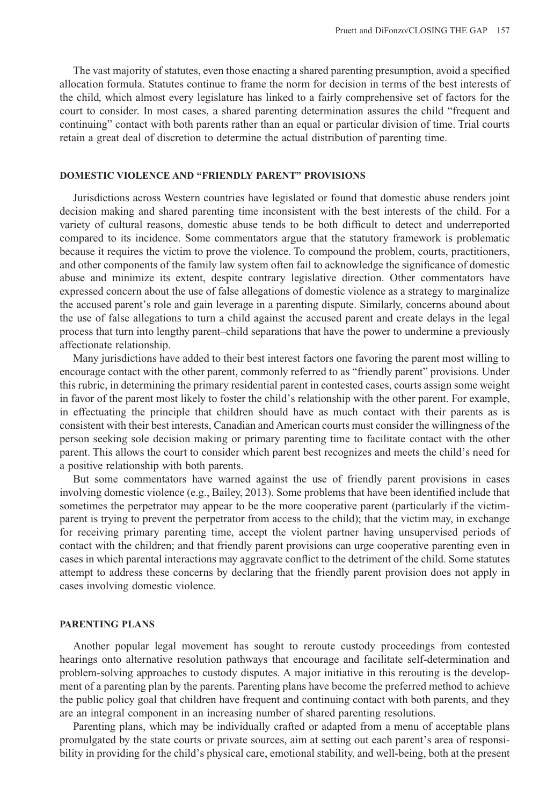The vast majority of statutes, even those enacting a shared parenting presumption, avoid a specified allocation formula. Statutes continue to frame the norm for decision in terms of the best interests of the child, which almost every legislature has linked to a fairly comprehensive set of factors for the court to consider. In most cases, a shared parenting determination assures the child "frequent and continuing" contact with both parents rather than an equal or particular division of time. Trial courts retain a great deal of discretion to determine the actual distribution of parenting time.

#### **DOMESTIC VIOLENCE AND "FRIENDLY PARENT" PROVISIONS**

Jurisdictions across Western countries have legislated or found that domestic abuse renders joint decision making and shared parenting time inconsistent with the best interests of the child. For a variety of cultural reasons, domestic abuse tends to be both difficult to detect and underreported compared to its incidence. Some commentators argue that the statutory framework is problematic because it requires the victim to prove the violence. To compound the problem, courts, practitioners, and other components of the family law system often fail to acknowledge the significance of domestic abuse and minimize its extent, despite contrary legislative direction. Other commentators have expressed concern about the use of false allegations of domestic violence as a strategy to marginalize the accused parent's role and gain leverage in a parenting dispute. Similarly, concerns abound about the use of false allegations to turn a child against the accused parent and create delays in the legal process that turn into lengthy parent–child separations that have the power to undermine a previously affectionate relationship.

Many jurisdictions have added to their best interest factors one favoring the parent most willing to encourage contact with the other parent, commonly referred to as "friendly parent" provisions. Under this rubric, in determining the primary residential parent in contested cases, courts assign some weight in favor of the parent most likely to foster the child's relationship with the other parent. For example, in effectuating the principle that children should have as much contact with their parents as is consistent with their best interests, Canadian and American courts must consider the willingness of the person seeking sole decision making or primary parenting time to facilitate contact with the other parent. This allows the court to consider which parent best recognizes and meets the child's need for a positive relationship with both parents.

But some commentators have warned against the use of friendly parent provisions in cases involving domestic violence (e.g., Bailey, 2013). Some problems that have been identified include that sometimes the perpetrator may appear to be the more cooperative parent (particularly if the victimparent is trying to prevent the perpetrator from access to the child); that the victim may, in exchange for receiving primary parenting time, accept the violent partner having unsupervised periods of contact with the children; and that friendly parent provisions can urge cooperative parenting even in cases in which parental interactions may aggravate conflict to the detriment of the child. Some statutes attempt to address these concerns by declaring that the friendly parent provision does not apply in cases involving domestic violence.

#### **PARENTING PLANS**

Another popular legal movement has sought to reroute custody proceedings from contested hearings onto alternative resolution pathways that encourage and facilitate self-determination and problem-solving approaches to custody disputes. A major initiative in this rerouting is the development of a parenting plan by the parents. Parenting plans have become the preferred method to achieve the public policy goal that children have frequent and continuing contact with both parents, and they are an integral component in an increasing number of shared parenting resolutions.

Parenting plans, which may be individually crafted or adapted from a menu of acceptable plans promulgated by the state courts or private sources, aim at setting out each parent's area of responsibility in providing for the child's physical care, emotional stability, and well-being, both at the present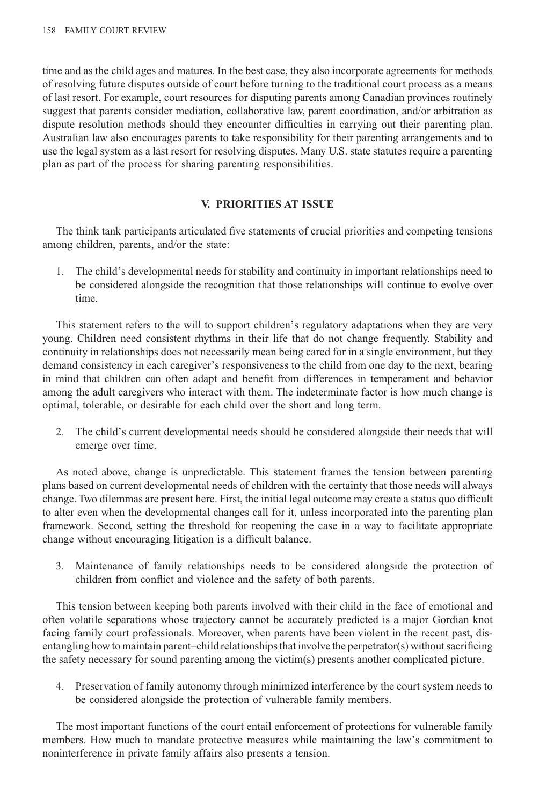time and as the child ages and matures. In the best case, they also incorporate agreements for methods of resolving future disputes outside of court before turning to the traditional court process as a means of last resort. For example, court resources for disputing parents among Canadian provinces routinely suggest that parents consider mediation, collaborative law, parent coordination, and/or arbitration as dispute resolution methods should they encounter difficulties in carrying out their parenting plan. Australian law also encourages parents to take responsibility for their parenting arrangements and to use the legal system as a last resort for resolving disputes. Many U.S. state statutes require a parenting plan as part of the process for sharing parenting responsibilities.

### **V. PRIORITIES AT ISSUE**

The think tank participants articulated five statements of crucial priorities and competing tensions among children, parents, and/or the state:

1. The child's developmental needs for stability and continuity in important relationships need to be considered alongside the recognition that those relationships will continue to evolve over time.

This statement refers to the will to support children's regulatory adaptations when they are very young. Children need consistent rhythms in their life that do not change frequently. Stability and continuity in relationships does not necessarily mean being cared for in a single environment, but they demand consistency in each caregiver's responsiveness to the child from one day to the next, bearing in mind that children can often adapt and benefit from differences in temperament and behavior among the adult caregivers who interact with them. The indeterminate factor is how much change is optimal, tolerable, or desirable for each child over the short and long term.

2. The child's current developmental needs should be considered alongside their needs that will emerge over time.

As noted above, change is unpredictable. This statement frames the tension between parenting plans based on current developmental needs of children with the certainty that those needs will always change. Two dilemmas are present here. First, the initial legal outcome may create a status quo difficult to alter even when the developmental changes call for it, unless incorporated into the parenting plan framework. Second, setting the threshold for reopening the case in a way to facilitate appropriate change without encouraging litigation is a difficult balance.

3. Maintenance of family relationships needs to be considered alongside the protection of children from conflict and violence and the safety of both parents.

This tension between keeping both parents involved with their child in the face of emotional and often volatile separations whose trajectory cannot be accurately predicted is a major Gordian knot facing family court professionals. Moreover, when parents have been violent in the recent past, disentangling how to maintain parent–child relationships that involve the perpetrator(s) without sacrificing the safety necessary for sound parenting among the victim(s) presents another complicated picture.

4. Preservation of family autonomy through minimized interference by the court system needs to be considered alongside the protection of vulnerable family members.

The most important functions of the court entail enforcement of protections for vulnerable family members. How much to mandate protective measures while maintaining the law's commitment to noninterference in private family affairs also presents a tension.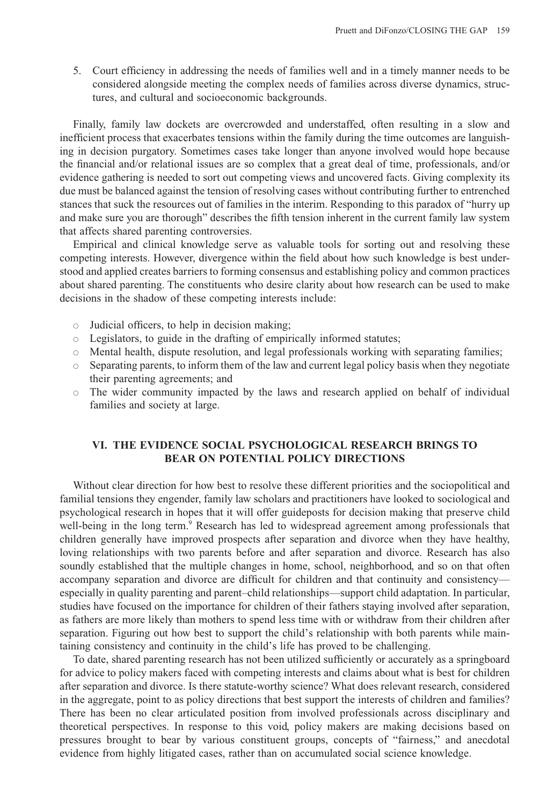5. Court efficiency in addressing the needs of families well and in a timely manner needs to be considered alongside meeting the complex needs of families across diverse dynamics, structures, and cultural and socioeconomic backgrounds.

Finally, family law dockets are overcrowded and understaffed, often resulting in a slow and inefficient process that exacerbates tensions within the family during the time outcomes are languishing in decision purgatory. Sometimes cases take longer than anyone involved would hope because the financial and/or relational issues are so complex that a great deal of time, professionals, and/or evidence gathering is needed to sort out competing views and uncovered facts. Giving complexity its due must be balanced against the tension of resolving cases without contributing further to entrenched stances that suck the resources out of families in the interim. Responding to this paradox of "hurry up and make sure you are thorough" describes the fifth tension inherent in the current family law system that affects shared parenting controversies.

Empirical and clinical knowledge serve as valuable tools for sorting out and resolving these competing interests. However, divergence within the field about how such knowledge is best understood and applied creates barriers to forming consensus and establishing policy and common practices about shared parenting. The constituents who desire clarity about how research can be used to make decisions in the shadow of these competing interests include:

- Judicial officers, to help in decision making;
- Legislators, to guide in the drafting of empirically informed statutes;
- Mental health, dispute resolution, and legal professionals working with separating families;
- Separating parents, to inform them of the law and current legal policy basis when they negotiate their parenting agreements; and
- The wider community impacted by the laws and research applied on behalf of individual families and society at large.

# **VI. THE EVIDENCE SOCIAL PSYCHOLOGICAL RESEARCH BRINGS TO BEAR ON POTENTIAL POLICY DIRECTIONS**

Without clear direction for how best to resolve these different priorities and the sociopolitical and familial tensions they engender, family law scholars and practitioners have looked to sociological and psychological research in hopes that it will offer guideposts for decision making that preserve child well-being in the long term.<sup>9</sup> Research has led to widespread agreement among professionals that children generally have improved prospects after separation and divorce when they have healthy, loving relationships with two parents before and after separation and divorce. Research has also soundly established that the multiple changes in home, school, neighborhood, and so on that often accompany separation and divorce are difficult for children and that continuity and consistency especially in quality parenting and parent–child relationships—support child adaptation. In particular, studies have focused on the importance for children of their fathers staying involved after separation, as fathers are more likely than mothers to spend less time with or withdraw from their children after separation. Figuring out how best to support the child's relationship with both parents while maintaining consistency and continuity in the child's life has proved to be challenging.

To date, shared parenting research has not been utilized sufficiently or accurately as a springboard for advice to policy makers faced with competing interests and claims about what is best for children after separation and divorce. Is there statute-worthy science? What does relevant research, considered in the aggregate, point to as policy directions that best support the interests of children and families? There has been no clear articulated position from involved professionals across disciplinary and theoretical perspectives. In response to this void, policy makers are making decisions based on pressures brought to bear by various constituent groups, concepts of "fairness," and anecdotal evidence from highly litigated cases, rather than on accumulated social science knowledge.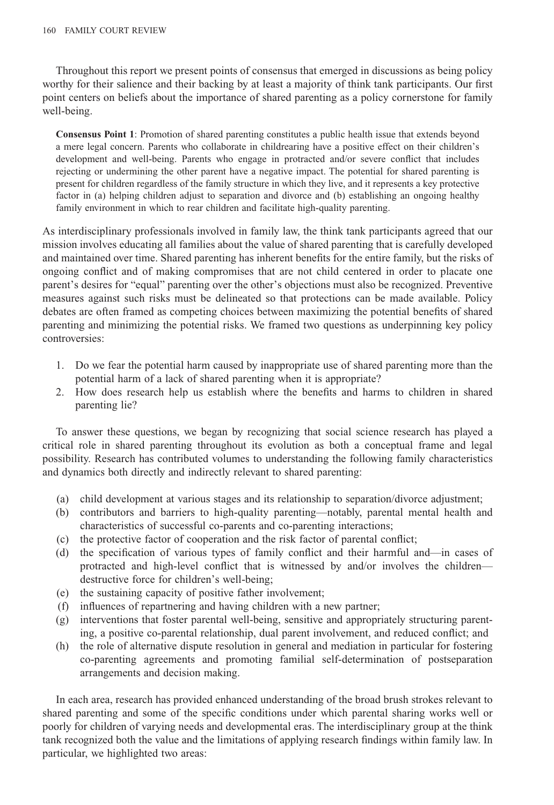Throughout this report we present points of consensus that emerged in discussions as being policy worthy for their salience and their backing by at least a majority of think tank participants. Our first point centers on beliefs about the importance of shared parenting as a policy cornerstone for family well-being.

**Consensus Point 1**: Promotion of shared parenting constitutes a public health issue that extends beyond a mere legal concern. Parents who collaborate in childrearing have a positive effect on their children's development and well-being. Parents who engage in protracted and/or severe conflict that includes rejecting or undermining the other parent have a negative impact. The potential for shared parenting is present for children regardless of the family structure in which they live, and it represents a key protective factor in (a) helping children adjust to separation and divorce and (b) establishing an ongoing healthy family environment in which to rear children and facilitate high-quality parenting.

As interdisciplinary professionals involved in family law, the think tank participants agreed that our mission involves educating all families about the value of shared parenting that is carefully developed and maintained over time. Shared parenting has inherent benefits for the entire family, but the risks of ongoing conflict and of making compromises that are not child centered in order to placate one parent's desires for "equal" parenting over the other's objections must also be recognized. Preventive measures against such risks must be delineated so that protections can be made available. Policy debates are often framed as competing choices between maximizing the potential benefits of shared parenting and minimizing the potential risks. We framed two questions as underpinning key policy controversies:

- 1. Do we fear the potential harm caused by inappropriate use of shared parenting more than the potential harm of a lack of shared parenting when it is appropriate?
- 2. How does research help us establish where the benefits and harms to children in shared parenting lie?

To answer these questions, we began by recognizing that social science research has played a critical role in shared parenting throughout its evolution as both a conceptual frame and legal possibility. Research has contributed volumes to understanding the following family characteristics and dynamics both directly and indirectly relevant to shared parenting:

- (a) child development at various stages and its relationship to separation/divorce adjustment;
- (b) contributors and barriers to high-quality parenting—notably, parental mental health and characteristics of successful co-parents and co-parenting interactions;
- (c) the protective factor of cooperation and the risk factor of parental conflict;
- (d) the specification of various types of family conflict and their harmful and—in cases of protracted and high-level conflict that is witnessed by and/or involves the children destructive force for children's well-being;
- (e) the sustaining capacity of positive father involvement;
- (f) influences of repartnering and having children with a new partner;
- (g) interventions that foster parental well-being, sensitive and appropriately structuring parenting, a positive co-parental relationship, dual parent involvement, and reduced conflict; and
- (h) the role of alternative dispute resolution in general and mediation in particular for fostering co-parenting agreements and promoting familial self-determination of postseparation arrangements and decision making.

In each area, research has provided enhanced understanding of the broad brush strokes relevant to shared parenting and some of the specific conditions under which parental sharing works well or poorly for children of varying needs and developmental eras. The interdisciplinary group at the think tank recognized both the value and the limitations of applying research findings within family law. In particular, we highlighted two areas: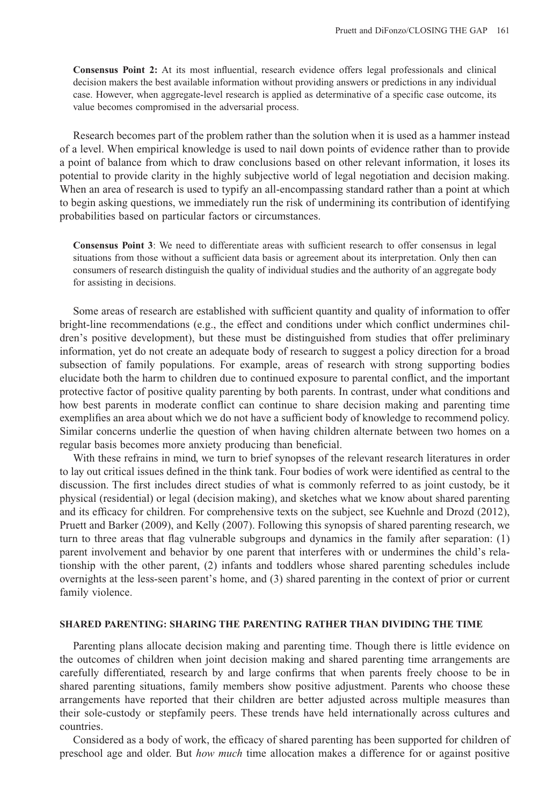**Consensus Point 2:** At its most influential, research evidence offers legal professionals and clinical decision makers the best available information without providing answers or predictions in any individual case. However, when aggregate-level research is applied as determinative of a specific case outcome, its value becomes compromised in the adversarial process.

Research becomes part of the problem rather than the solution when it is used as a hammer instead of a level. When empirical knowledge is used to nail down points of evidence rather than to provide a point of balance from which to draw conclusions based on other relevant information, it loses its potential to provide clarity in the highly subjective world of legal negotiation and decision making. When an area of research is used to typify an all-encompassing standard rather than a point at which to begin asking questions, we immediately run the risk of undermining its contribution of identifying probabilities based on particular factors or circumstances.

**Consensus Point 3**: We need to differentiate areas with sufficient research to offer consensus in legal situations from those without a sufficient data basis or agreement about its interpretation. Only then can consumers of research distinguish the quality of individual studies and the authority of an aggregate body for assisting in decisions.

Some areas of research are established with sufficient quantity and quality of information to offer bright-line recommendations (e.g., the effect and conditions under which conflict undermines children's positive development), but these must be distinguished from studies that offer preliminary information, yet do not create an adequate body of research to suggest a policy direction for a broad subsection of family populations. For example, areas of research with strong supporting bodies elucidate both the harm to children due to continued exposure to parental conflict, and the important protective factor of positive quality parenting by both parents. In contrast, under what conditions and how best parents in moderate conflict can continue to share decision making and parenting time exemplifies an area about which we do not have a sufficient body of knowledge to recommend policy. Similar concerns underlie the question of when having children alternate between two homes on a regular basis becomes more anxiety producing than beneficial.

With these refrains in mind, we turn to brief synopses of the relevant research literatures in order to lay out critical issues defined in the think tank. Four bodies of work were identified as central to the discussion. The first includes direct studies of what is commonly referred to as joint custody, be it physical (residential) or legal (decision making), and sketches what we know about shared parenting and its efficacy for children. For comprehensive texts on the subject, see Kuehnle and Drozd (2012), Pruett and Barker (2009), and Kelly (2007). Following this synopsis of shared parenting research, we turn to three areas that flag vulnerable subgroups and dynamics in the family after separation: (1) parent involvement and behavior by one parent that interferes with or undermines the child's relationship with the other parent, (2) infants and toddlers whose shared parenting schedules include overnights at the less-seen parent's home, and (3) shared parenting in the context of prior or current family violence.

### **SHARED PARENTING: SHARING THE PARENTING RATHER THAN DIVIDING THE TIME**

Parenting plans allocate decision making and parenting time. Though there is little evidence on the outcomes of children when joint decision making and shared parenting time arrangements are carefully differentiated, research by and large confirms that when parents freely choose to be in shared parenting situations, family members show positive adjustment. Parents who choose these arrangements have reported that their children are better adjusted across multiple measures than their sole-custody or stepfamily peers. These trends have held internationally across cultures and countries.

Considered as a body of work, the efficacy of shared parenting has been supported for children of preschool age and older. But *how much* time allocation makes a difference for or against positive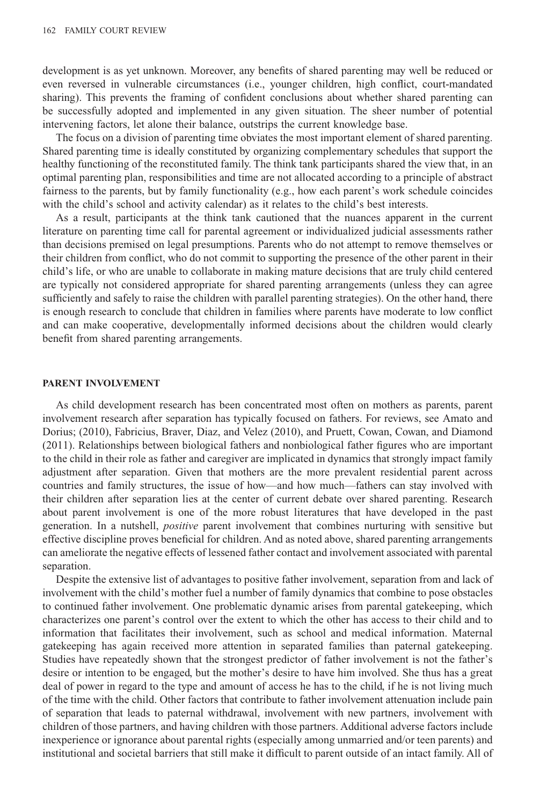development is as yet unknown. Moreover, any benefits of shared parenting may well be reduced or even reversed in vulnerable circumstances (i.e., younger children, high conflict, court-mandated sharing). This prevents the framing of confident conclusions about whether shared parenting can be successfully adopted and implemented in any given situation. The sheer number of potential intervening factors, let alone their balance, outstrips the current knowledge base.

The focus on a division of parenting time obviates the most important element of shared parenting. Shared parenting time is ideally constituted by organizing complementary schedules that support the healthy functioning of the reconstituted family. The think tank participants shared the view that, in an optimal parenting plan, responsibilities and time are not allocated according to a principle of abstract fairness to the parents, but by family functionality (e.g., how each parent's work schedule coincides with the child's school and activity calendar) as it relates to the child's best interests.

As a result, participants at the think tank cautioned that the nuances apparent in the current literature on parenting time call for parental agreement or individualized judicial assessments rather than decisions premised on legal presumptions. Parents who do not attempt to remove themselves or their children from conflict, who do not commit to supporting the presence of the other parent in their child's life, or who are unable to collaborate in making mature decisions that are truly child centered are typically not considered appropriate for shared parenting arrangements (unless they can agree sufficiently and safely to raise the children with parallel parenting strategies). On the other hand, there is enough research to conclude that children in families where parents have moderate to low conflict and can make cooperative, developmentally informed decisions about the children would clearly benefit from shared parenting arrangements.

#### **PARENT INVOLVEMENT**

As child development research has been concentrated most often on mothers as parents, parent involvement research after separation has typically focused on fathers. For reviews, see Amato and Dorius; (2010), Fabricius, Braver, Diaz, and Velez (2010), and Pruett, Cowan, Cowan, and Diamond (2011). Relationships between biological fathers and nonbiological father figures who are important to the child in their role as father and caregiver are implicated in dynamics that strongly impact family adjustment after separation. Given that mothers are the more prevalent residential parent across countries and family structures, the issue of how—and how much—fathers can stay involved with their children after separation lies at the center of current debate over shared parenting. Research about parent involvement is one of the more robust literatures that have developed in the past generation. In a nutshell, *positive* parent involvement that combines nurturing with sensitive but effective discipline proves beneficial for children. And as noted above, shared parenting arrangements can ameliorate the negative effects of lessened father contact and involvement associated with parental separation.

Despite the extensive list of advantages to positive father involvement, separation from and lack of involvement with the child's mother fuel a number of family dynamics that combine to pose obstacles to continued father involvement. One problematic dynamic arises from parental gatekeeping, which characterizes one parent's control over the extent to which the other has access to their child and to information that facilitates their involvement, such as school and medical information. Maternal gatekeeping has again received more attention in separated families than paternal gatekeeping. Studies have repeatedly shown that the strongest predictor of father involvement is not the father's desire or intention to be engaged, but the mother's desire to have him involved. She thus has a great deal of power in regard to the type and amount of access he has to the child, if he is not living much of the time with the child. Other factors that contribute to father involvement attenuation include pain of separation that leads to paternal withdrawal, involvement with new partners, involvement with children of those partners, and having children with those partners. Additional adverse factors include inexperience or ignorance about parental rights (especially among unmarried and/or teen parents) and institutional and societal barriers that still make it difficult to parent outside of an intact family. All of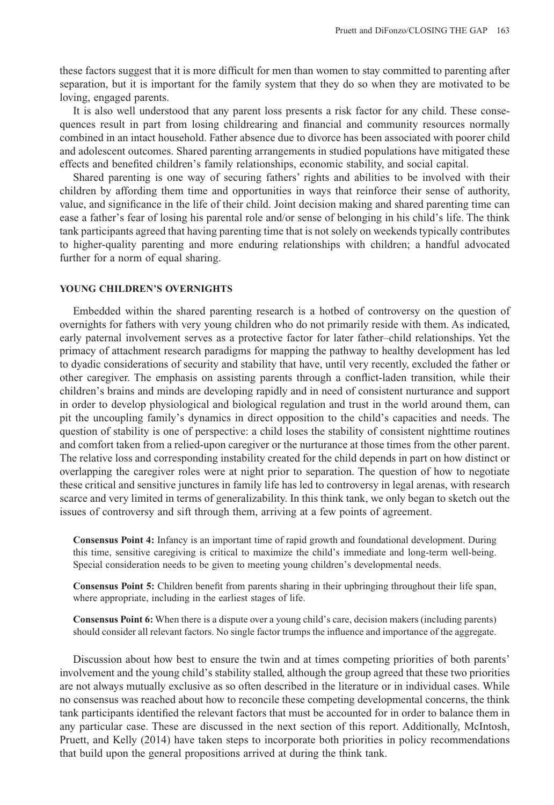these factors suggest that it is more difficult for men than women to stay committed to parenting after separation, but it is important for the family system that they do so when they are motivated to be loving, engaged parents.

It is also well understood that any parent loss presents a risk factor for any child. These consequences result in part from losing childrearing and financial and community resources normally combined in an intact household. Father absence due to divorce has been associated with poorer child and adolescent outcomes. Shared parenting arrangements in studied populations have mitigated these effects and benefited children's family relationships, economic stability, and social capital.

Shared parenting is one way of securing fathers' rights and abilities to be involved with their children by affording them time and opportunities in ways that reinforce their sense of authority, value, and significance in the life of their child. Joint decision making and shared parenting time can ease a father's fear of losing his parental role and/or sense of belonging in his child's life. The think tank participants agreed that having parenting time that is not solely on weekends typically contributes to higher-quality parenting and more enduring relationships with children; a handful advocated further for a norm of equal sharing.

#### **YOUNG CHILDREN'S OVERNIGHTS**

Embedded within the shared parenting research is a hotbed of controversy on the question of overnights for fathers with very young children who do not primarily reside with them. As indicated, early paternal involvement serves as a protective factor for later father–child relationships. Yet the primacy of attachment research paradigms for mapping the pathway to healthy development has led to dyadic considerations of security and stability that have, until very recently, excluded the father or other caregiver. The emphasis on assisting parents through a conflict-laden transition, while their children's brains and minds are developing rapidly and in need of consistent nurturance and support in order to develop physiological and biological regulation and trust in the world around them, can pit the uncoupling family's dynamics in direct opposition to the child's capacities and needs. The question of stability is one of perspective: a child loses the stability of consistent nighttime routines and comfort taken from a relied-upon caregiver or the nurturance at those times from the other parent. The relative loss and corresponding instability created for the child depends in part on how distinct or overlapping the caregiver roles were at night prior to separation. The question of how to negotiate these critical and sensitive junctures in family life has led to controversy in legal arenas, with research scarce and very limited in terms of generalizability. In this think tank, we only began to sketch out the issues of controversy and sift through them, arriving at a few points of agreement.

**Consensus Point 4:** Infancy is an important time of rapid growth and foundational development. During this time, sensitive caregiving is critical to maximize the child's immediate and long-term well-being. Special consideration needs to be given to meeting young children's developmental needs.

**Consensus Point 5:** Children benefit from parents sharing in their upbringing throughout their life span, where appropriate, including in the earliest stages of life.

**Consensus Point 6:** When there is a dispute over a young child's care, decision makers (including parents) should consider all relevant factors. No single factor trumps the influence and importance of the aggregate.

Discussion about how best to ensure the twin and at times competing priorities of both parents' involvement and the young child's stability stalled, although the group agreed that these two priorities are not always mutually exclusive as so often described in the literature or in individual cases. While no consensus was reached about how to reconcile these competing developmental concerns, the think tank participants identified the relevant factors that must be accounted for in order to balance them in any particular case. These are discussed in the next section of this report. Additionally, McIntosh, Pruett, and Kelly (2014) have taken steps to incorporate both priorities in policy recommendations that build upon the general propositions arrived at during the think tank.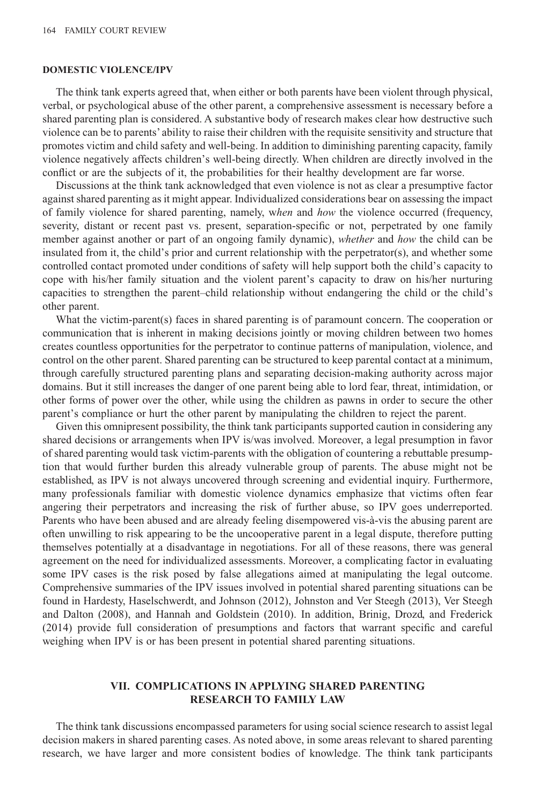#### **DOMESTIC VIOLENCE/IPV**

The think tank experts agreed that, when either or both parents have been violent through physical, verbal, or psychological abuse of the other parent, a comprehensive assessment is necessary before a shared parenting plan is considered. A substantive body of research makes clear how destructive such violence can be to parents' ability to raise their children with the requisite sensitivity and structure that promotes victim and child safety and well-being. In addition to diminishing parenting capacity, family violence negatively affects children's well-being directly. When children are directly involved in the conflict or are the subjects of it, the probabilities for their healthy development are far worse.

Discussions at the think tank acknowledged that even violence is not as clear a presumptive factor against shared parenting as it might appear. Individualized considerations bear on assessing the impact of family violence for shared parenting, namely, w*hen* and *how* the violence occurred (frequency, severity, distant or recent past vs. present, separation-specific or not, perpetrated by one family member against another or part of an ongoing family dynamic), *whether* and *how* the child can be insulated from it, the child's prior and current relationship with the perpetrator(s), and whether some controlled contact promoted under conditions of safety will help support both the child's capacity to cope with his/her family situation and the violent parent's capacity to draw on his/her nurturing capacities to strengthen the parent–child relationship without endangering the child or the child's other parent.

What the victim-parent(s) faces in shared parenting is of paramount concern. The cooperation or communication that is inherent in making decisions jointly or moving children between two homes creates countless opportunities for the perpetrator to continue patterns of manipulation, violence, and control on the other parent. Shared parenting can be structured to keep parental contact at a minimum, through carefully structured parenting plans and separating decision-making authority across major domains. But it still increases the danger of one parent being able to lord fear, threat, intimidation, or other forms of power over the other, while using the children as pawns in order to secure the other parent's compliance or hurt the other parent by manipulating the children to reject the parent.

Given this omnipresent possibility, the think tank participants supported caution in considering any shared decisions or arrangements when IPV is/was involved. Moreover, a legal presumption in favor of shared parenting would task victim-parents with the obligation of countering a rebuttable presumption that would further burden this already vulnerable group of parents. The abuse might not be established, as IPV is not always uncovered through screening and evidential inquiry. Furthermore, many professionals familiar with domestic violence dynamics emphasize that victims often fear angering their perpetrators and increasing the risk of further abuse, so IPV goes underreported. Parents who have been abused and are already feeling disempowered vis-à-vis the abusing parent are often unwilling to risk appearing to be the uncooperative parent in a legal dispute, therefore putting themselves potentially at a disadvantage in negotiations. For all of these reasons, there was general agreement on the need for individualized assessments. Moreover, a complicating factor in evaluating some IPV cases is the risk posed by false allegations aimed at manipulating the legal outcome. Comprehensive summaries of the IPV issues involved in potential shared parenting situations can be found in Hardesty, Haselschwerdt, and Johnson (2012), Johnston and Ver Steegh (2013), Ver Steegh and Dalton (2008), and Hannah and Goldstein (2010). In addition, Brinig, Drozd, and Frederick (2014) provide full consideration of presumptions and factors that warrant specific and careful weighing when IPV is or has been present in potential shared parenting situations.

### **VII. COMPLICATIONS IN APPLYING SHARED PARENTING RESEARCH TO FAMILY LAW**

The think tank discussions encompassed parameters for using social science research to assist legal decision makers in shared parenting cases. As noted above, in some areas relevant to shared parenting research, we have larger and more consistent bodies of knowledge. The think tank participants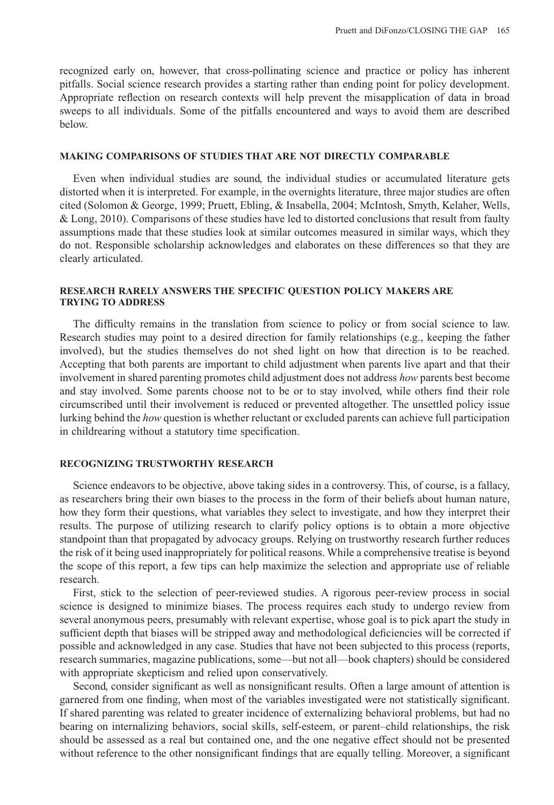recognized early on, however, that cross-pollinating science and practice or policy has inherent pitfalls. Social science research provides a starting rather than ending point for policy development. Appropriate reflection on research contexts will help prevent the misapplication of data in broad sweeps to all individuals. Some of the pitfalls encountered and ways to avoid them are described below.

### **MAKING COMPARISONS OF STUDIES THAT ARE NOT DIRECTLY COMPARABLE**

Even when individual studies are sound, the individual studies or accumulated literature gets distorted when it is interpreted. For example, in the overnights literature, three major studies are often cited (Solomon & George, 1999; Pruett, Ebling, & Insabella, 2004; McIntosh, Smyth, Kelaher, Wells, & Long, 2010). Comparisons of these studies have led to distorted conclusions that result from faulty assumptions made that these studies look at similar outcomes measured in similar ways, which they do not. Responsible scholarship acknowledges and elaborates on these differences so that they are clearly articulated.

#### **RESEARCH RARELY ANSWERS THE SPECIFIC QUESTION POLICY MAKERS ARE TRYING TO ADDRESS**

The difficulty remains in the translation from science to policy or from social science to law. Research studies may point to a desired direction for family relationships (e.g., keeping the father involved), but the studies themselves do not shed light on how that direction is to be reached. Accepting that both parents are important to child adjustment when parents live apart and that their involvement in shared parenting promotes child adjustment does not address *how* parents best become and stay involved. Some parents choose not to be or to stay involved, while others find their role circumscribed until their involvement is reduced or prevented altogether. The unsettled policy issue lurking behind the *how* question is whether reluctant or excluded parents can achieve full participation in childrearing without a statutory time specification.

#### **RECOGNIZING TRUSTWORTHY RESEARCH**

Science endeavors to be objective, above taking sides in a controversy. This, of course, is a fallacy, as researchers bring their own biases to the process in the form of their beliefs about human nature, how they form their questions, what variables they select to investigate, and how they interpret their results. The purpose of utilizing research to clarify policy options is to obtain a more objective standpoint than that propagated by advocacy groups. Relying on trustworthy research further reduces the risk of it being used inappropriately for political reasons. While a comprehensive treatise is beyond the scope of this report, a few tips can help maximize the selection and appropriate use of reliable research.

First, stick to the selection of peer-reviewed studies. A rigorous peer-review process in social science is designed to minimize biases. The process requires each study to undergo review from several anonymous peers, presumably with relevant expertise, whose goal is to pick apart the study in sufficient depth that biases will be stripped away and methodological deficiencies will be corrected if possible and acknowledged in any case. Studies that have not been subjected to this process (reports, research summaries, magazine publications, some—but not all—book chapters) should be considered with appropriate skepticism and relied upon conservatively.

Second, consider significant as well as nonsignificant results. Often a large amount of attention is garnered from one finding, when most of the variables investigated were not statistically significant. If shared parenting was related to greater incidence of externalizing behavioral problems, but had no bearing on internalizing behaviors, social skills, self-esteem, or parent–child relationships, the risk should be assessed as a real but contained one, and the one negative effect should not be presented without reference to the other nonsignificant findings that are equally telling. Moreover, a significant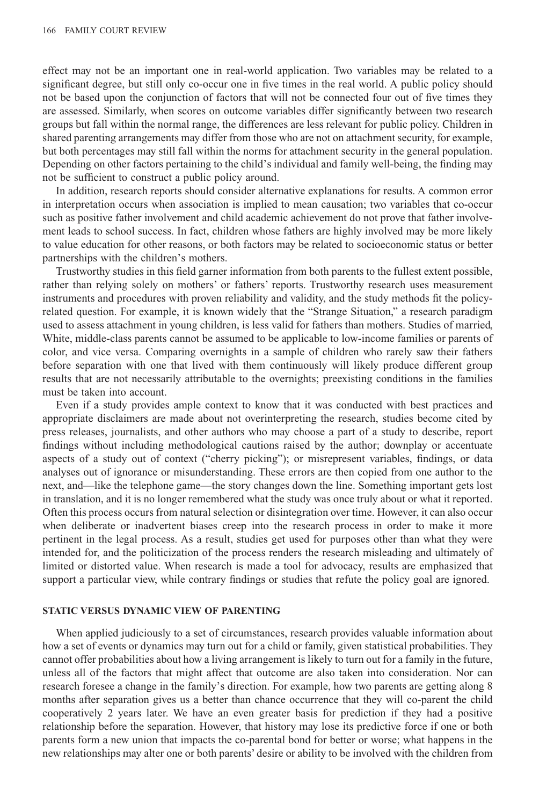effect may not be an important one in real-world application. Two variables may be related to a significant degree, but still only co-occur one in five times in the real world. A public policy should not be based upon the conjunction of factors that will not be connected four out of five times they are assessed. Similarly, when scores on outcome variables differ significantly between two research groups but fall within the normal range, the differences are less relevant for public policy. Children in shared parenting arrangements may differ from those who are not on attachment security, for example, but both percentages may still fall within the norms for attachment security in the general population. Depending on other factors pertaining to the child's individual and family well-being, the finding may not be sufficient to construct a public policy around.

In addition, research reports should consider alternative explanations for results. A common error in interpretation occurs when association is implied to mean causation; two variables that co-occur such as positive father involvement and child academic achievement do not prove that father involvement leads to school success. In fact, children whose fathers are highly involved may be more likely to value education for other reasons, or both factors may be related to socioeconomic status or better partnerships with the children's mothers.

Trustworthy studies in this field garner information from both parents to the fullest extent possible, rather than relying solely on mothers' or fathers' reports. Trustworthy research uses measurement instruments and procedures with proven reliability and validity, and the study methods fit the policyrelated question. For example, it is known widely that the "Strange Situation," a research paradigm used to assess attachment in young children, is less valid for fathers than mothers. Studies of married, White, middle-class parents cannot be assumed to be applicable to low-income families or parents of color, and vice versa. Comparing overnights in a sample of children who rarely saw their fathers before separation with one that lived with them continuously will likely produce different group results that are not necessarily attributable to the overnights; preexisting conditions in the families must be taken into account.

Even if a study provides ample context to know that it was conducted with best practices and appropriate disclaimers are made about not overinterpreting the research, studies become cited by press releases, journalists, and other authors who may choose a part of a study to describe, report findings without including methodological cautions raised by the author; downplay or accentuate aspects of a study out of context ("cherry picking"); or misrepresent variables, findings, or data analyses out of ignorance or misunderstanding. These errors are then copied from one author to the next, and—like the telephone game—the story changes down the line. Something important gets lost in translation, and it is no longer remembered what the study was once truly about or what it reported. Often this process occurs from natural selection or disintegration over time. However, it can also occur when deliberate or inadvertent biases creep into the research process in order to make it more pertinent in the legal process. As a result, studies get used for purposes other than what they were intended for, and the politicization of the process renders the research misleading and ultimately of limited or distorted value. When research is made a tool for advocacy, results are emphasized that support a particular view, while contrary findings or studies that refute the policy goal are ignored.

### **STATIC VERSUS DYNAMIC VIEW OF PARENTING**

When applied judiciously to a set of circumstances, research provides valuable information about how a set of events or dynamics may turn out for a child or family, given statistical probabilities. They cannot offer probabilities about how a living arrangement is likely to turn out for a family in the future, unless all of the factors that might affect that outcome are also taken into consideration. Nor can research foresee a change in the family's direction. For example, how two parents are getting along 8 months after separation gives us a better than chance occurrence that they will co-parent the child cooperatively 2 years later. We have an even greater basis for prediction if they had a positive relationship before the separation. However, that history may lose its predictive force if one or both parents form a new union that impacts the co-parental bond for better or worse; what happens in the new relationships may alter one or both parents' desire or ability to be involved with the children from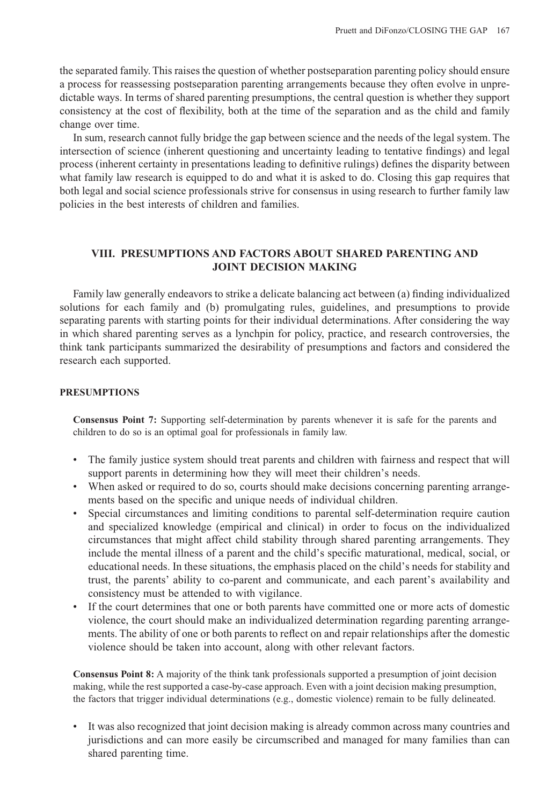the separated family. This raises the question of whether postseparation parenting policy should ensure a process for reassessing postseparation parenting arrangements because they often evolve in unpredictable ways. In terms of shared parenting presumptions, the central question is whether they support consistency at the cost of flexibility, both at the time of the separation and as the child and family change over time.

In sum, research cannot fully bridge the gap between science and the needs of the legal system. The intersection of science (inherent questioning and uncertainty leading to tentative findings) and legal process (inherent certainty in presentations leading to definitive rulings) defines the disparity between what family law research is equipped to do and what it is asked to do. Closing this gap requires that both legal and social science professionals strive for consensus in using research to further family law policies in the best interests of children and families.

# **VIII. PRESUMPTIONS AND FACTORS ABOUT SHARED PARENTING AND JOINT DECISION MAKING**

Family law generally endeavors to strike a delicate balancing act between (a) finding individualized solutions for each family and (b) promulgating rules, guidelines, and presumptions to provide separating parents with starting points for their individual determinations. After considering the way in which shared parenting serves as a lynchpin for policy, practice, and research controversies, the think tank participants summarized the desirability of presumptions and factors and considered the research each supported.

### **PRESUMPTIONS**

**Consensus Point 7:** Supporting self-determination by parents whenever it is safe for the parents and children to do so is an optimal goal for professionals in family law.

- The family justice system should treat parents and children with fairness and respect that will support parents in determining how they will meet their children's needs.
- When asked or required to do so, courts should make decisions concerning parenting arrangements based on the specific and unique needs of individual children.
- Special circumstances and limiting conditions to parental self-determination require caution and specialized knowledge (empirical and clinical) in order to focus on the individualized circumstances that might affect child stability through shared parenting arrangements. They include the mental illness of a parent and the child's specific maturational, medical, social, or educational needs. In these situations, the emphasis placed on the child's needs for stability and trust, the parents' ability to co-parent and communicate, and each parent's availability and consistency must be attended to with vigilance.
- If the court determines that one or both parents have committed one or more acts of domestic violence, the court should make an individualized determination regarding parenting arrangements. The ability of one or both parents to reflect on and repair relationships after the domestic violence should be taken into account, along with other relevant factors.

**Consensus Point 8:** A majority of the think tank professionals supported a presumption of joint decision making, while the rest supported a case-by-case approach. Even with a joint decision making presumption, the factors that trigger individual determinations (e.g., domestic violence) remain to be fully delineated.

It was also recognized that joint decision making is already common across many countries and jurisdictions and can more easily be circumscribed and managed for many families than can shared parenting time.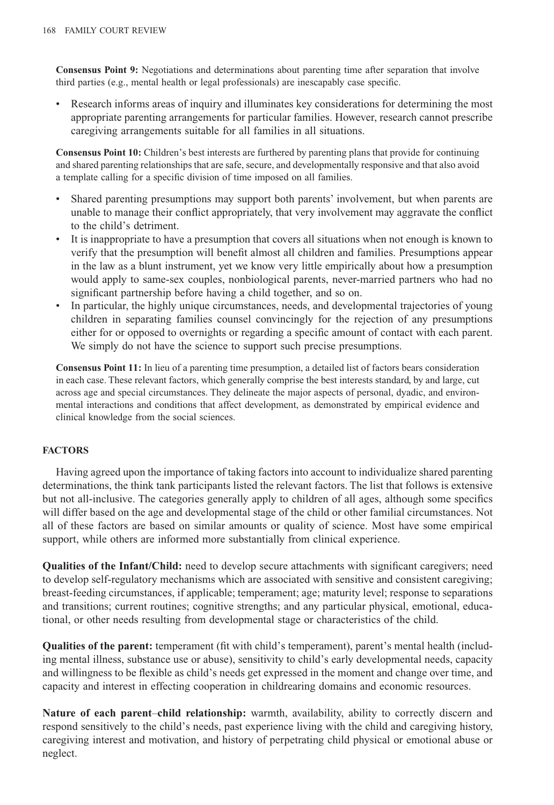**Consensus Point 9:** Negotiations and determinations about parenting time after separation that involve third parties (e.g., mental health or legal professionals) are inescapably case specific.

• Research informs areas of inquiry and illuminates key considerations for determining the most appropriate parenting arrangements for particular families. However, research cannot prescribe caregiving arrangements suitable for all families in all situations.

**Consensus Point 10:** Children's best interests are furthered by parenting plans that provide for continuing and shared parenting relationships that are safe, secure, and developmentally responsive and that also avoid a template calling for a specific division of time imposed on all families.

- Shared parenting presumptions may support both parents' involvement, but when parents are unable to manage their conflict appropriately, that very involvement may aggravate the conflict to the child's detriment.
- It is inappropriate to have a presumption that covers all situations when not enough is known to verify that the presumption will benefit almost all children and families. Presumptions appear in the law as a blunt instrument, yet we know very little empirically about how a presumption would apply to same-sex couples, nonbiological parents, never-married partners who had no significant partnership before having a child together, and so on.
- In particular, the highly unique circumstances, needs, and developmental trajectories of young children in separating families counsel convincingly for the rejection of any presumptions either for or opposed to overnights or regarding a specific amount of contact with each parent. We simply do not have the science to support such precise presumptions.

**Consensus Point 11:** In lieu of a parenting time presumption, a detailed list of factors bears consideration in each case. These relevant factors, which generally comprise the best interests standard, by and large, cut across age and special circumstances. They delineate the major aspects of personal, dyadic, and environmental interactions and conditions that affect development, as demonstrated by empirical evidence and clinical knowledge from the social sciences.

### **FACTORS**

Having agreed upon the importance of taking factors into account to individualize shared parenting determinations, the think tank participants listed the relevant factors. The list that follows is extensive but not all-inclusive. The categories generally apply to children of all ages, although some specifics will differ based on the age and developmental stage of the child or other familial circumstances. Not all of these factors are based on similar amounts or quality of science. Most have some empirical support, while others are informed more substantially from clinical experience.

**Qualities of the Infant/Child:** need to develop secure attachments with significant caregivers; need to develop self-regulatory mechanisms which are associated with sensitive and consistent caregiving; breast-feeding circumstances, if applicable; temperament; age; maturity level; response to separations and transitions; current routines; cognitive strengths; and any particular physical, emotional, educational, or other needs resulting from developmental stage or characteristics of the child.

**Qualities of the parent:** temperament (fit with child's temperament), parent's mental health (including mental illness, substance use or abuse), sensitivity to child's early developmental needs, capacity and willingness to be flexible as child's needs get expressed in the moment and change over time, and capacity and interest in effecting cooperation in childrearing domains and economic resources.

**Nature of each parent**–**child relationship:** warmth, availability, ability to correctly discern and respond sensitively to the child's needs, past experience living with the child and caregiving history, caregiving interest and motivation, and history of perpetrating child physical or emotional abuse or neglect.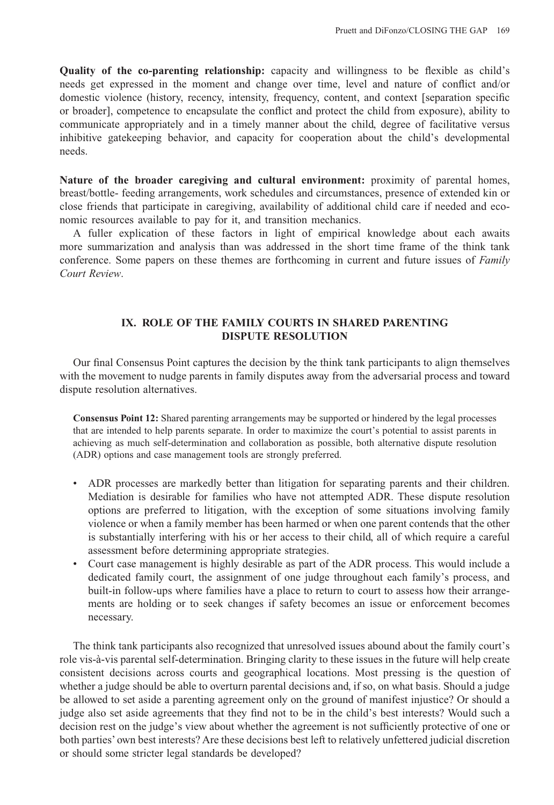**Quality of the co-parenting relationship:** capacity and willingness to be flexible as child's needs get expressed in the moment and change over time, level and nature of conflict and/or domestic violence (history, recency, intensity, frequency, content, and context [separation specific or broader], competence to encapsulate the conflict and protect the child from exposure), ability to communicate appropriately and in a timely manner about the child, degree of facilitative versus inhibitive gatekeeping behavior, and capacity for cooperation about the child's developmental needs.

**Nature of the broader caregiving and cultural environment:** proximity of parental homes, breast/bottle- feeding arrangements, work schedules and circumstances, presence of extended kin or close friends that participate in caregiving, availability of additional child care if needed and economic resources available to pay for it, and transition mechanics.

A fuller explication of these factors in light of empirical knowledge about each awaits more summarization and analysis than was addressed in the short time frame of the think tank conference. Some papers on these themes are forthcoming in current and future issues of *Family Court Review*.

# **IX. ROLE OF THE FAMILY COURTS IN SHARED PARENTING DISPUTE RESOLUTION**

Our final Consensus Point captures the decision by the think tank participants to align themselves with the movement to nudge parents in family disputes away from the adversarial process and toward dispute resolution alternatives.

**Consensus Point 12:** Shared parenting arrangements may be supported or hindered by the legal processes that are intended to help parents separate. In order to maximize the court's potential to assist parents in achieving as much self-determination and collaboration as possible, both alternative dispute resolution (ADR) options and case management tools are strongly preferred.

- ADR processes are markedly better than litigation for separating parents and their children. Mediation is desirable for families who have not attempted ADR. These dispute resolution options are preferred to litigation, with the exception of some situations involving family violence or when a family member has been harmed or when one parent contends that the other is substantially interfering with his or her access to their child, all of which require a careful assessment before determining appropriate strategies.
- Court case management is highly desirable as part of the ADR process. This would include a dedicated family court, the assignment of one judge throughout each family's process, and built-in follow-ups where families have a place to return to court to assess how their arrangements are holding or to seek changes if safety becomes an issue or enforcement becomes necessary.

The think tank participants also recognized that unresolved issues abound about the family court's role vis-à-vis parental self-determination. Bringing clarity to these issues in the future will help create consistent decisions across courts and geographical locations. Most pressing is the question of whether a judge should be able to overturn parental decisions and, if so, on what basis. Should a judge be allowed to set aside a parenting agreement only on the ground of manifest injustice? Or should a judge also set aside agreements that they find not to be in the child's best interests? Would such a decision rest on the judge's view about whether the agreement is not sufficiently protective of one or both parties' own best interests? Are these decisions best left to relatively unfettered judicial discretion or should some stricter legal standards be developed?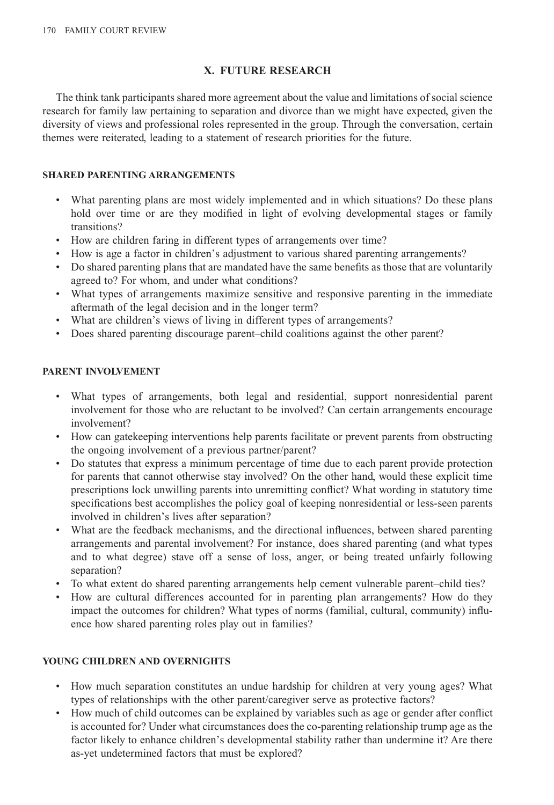# **X. FUTURE RESEARCH**

The think tank participants shared more agreement about the value and limitations of social science research for family law pertaining to separation and divorce than we might have expected, given the diversity of views and professional roles represented in the group. Through the conversation, certain themes were reiterated, leading to a statement of research priorities for the future.

### **SHARED PARENTING ARRANGEMENTS**

- What parenting plans are most widely implemented and in which situations? Do these plans hold over time or are they modified in light of evolving developmental stages or family transitions?
- How are children faring in different types of arrangements over time?
- How is age a factor in children's adjustment to various shared parenting arrangements?
- Do shared parenting plans that are mandated have the same benefits as those that are voluntarily agreed to? For whom, and under what conditions?
- What types of arrangements maximize sensitive and responsive parenting in the immediate aftermath of the legal decision and in the longer term?
- What are children's views of living in different types of arrangements?
- Does shared parenting discourage parent–child coalitions against the other parent?

### **PARENT INVOLVEMENT**

- What types of arrangements, both legal and residential, support nonresidential parent involvement for those who are reluctant to be involved? Can certain arrangements encourage involvement?
- How can gatekeeping interventions help parents facilitate or prevent parents from obstructing the ongoing involvement of a previous partner/parent?
- Do statutes that express a minimum percentage of time due to each parent provide protection for parents that cannot otherwise stay involved? On the other hand, would these explicit time prescriptions lock unwilling parents into unremitting conflict? What wording in statutory time specifications best accomplishes the policy goal of keeping nonresidential or less-seen parents involved in children's lives after separation?
- What are the feedback mechanisms, and the directional influences, between shared parenting arrangements and parental involvement? For instance, does shared parenting (and what types and to what degree) stave off a sense of loss, anger, or being treated unfairly following separation?
- To what extent do shared parenting arrangements help cement vulnerable parent–child ties?
- How are cultural differences accounted for in parenting plan arrangements? How do they impact the outcomes for children? What types of norms (familial, cultural, community) influence how shared parenting roles play out in families?

# **YOUNG CHILDREN AND OVERNIGHTS**

- How much separation constitutes an undue hardship for children at very young ages? What types of relationships with the other parent/caregiver serve as protective factors?
- How much of child outcomes can be explained by variables such as age or gender after conflict is accounted for? Under what circumstances does the co-parenting relationship trump age as the factor likely to enhance children's developmental stability rather than undermine it? Are there as-yet undetermined factors that must be explored?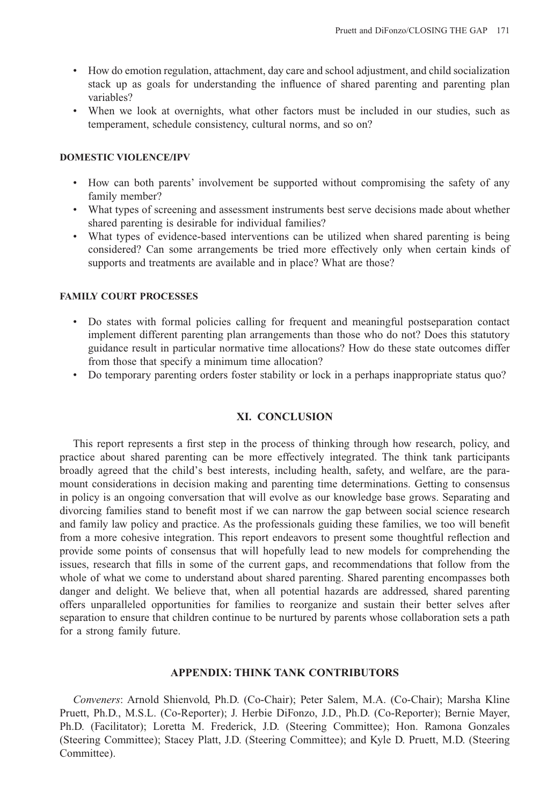- How do emotion regulation, attachment, day care and school adjustment, and child socialization stack up as goals for understanding the influence of shared parenting and parenting plan variables?
- When we look at overnights, what other factors must be included in our studies, such as temperament, schedule consistency, cultural norms, and so on?

### **DOMESTIC VIOLENCE/IPV**

- How can both parents' involvement be supported without compromising the safety of any family member?
- What types of screening and assessment instruments best serve decisions made about whether shared parenting is desirable for individual families?
- What types of evidence-based interventions can be utilized when shared parenting is being considered? Can some arrangements be tried more effectively only when certain kinds of supports and treatments are available and in place? What are those?

### **FAMILY COURT PROCESSES**

- Do states with formal policies calling for frequent and meaningful postseparation contact implement different parenting plan arrangements than those who do not? Does this statutory guidance result in particular normative time allocations? How do these state outcomes differ from those that specify a minimum time allocation?
- Do temporary parenting orders foster stability or lock in a perhaps inappropriate status quo?

### **XI. CONCLUSION**

This report represents a first step in the process of thinking through how research, policy, and practice about shared parenting can be more effectively integrated. The think tank participants broadly agreed that the child's best interests, including health, safety, and welfare, are the paramount considerations in decision making and parenting time determinations. Getting to consensus in policy is an ongoing conversation that will evolve as our knowledge base grows. Separating and divorcing families stand to benefit most if we can narrow the gap between social science research and family law policy and practice. As the professionals guiding these families, we too will benefit from a more cohesive integration. This report endeavors to present some thoughtful reflection and provide some points of consensus that will hopefully lead to new models for comprehending the issues, research that fills in some of the current gaps, and recommendations that follow from the whole of what we come to understand about shared parenting. Shared parenting encompasses both danger and delight. We believe that, when all potential hazards are addressed, shared parenting offers unparalleled opportunities for families to reorganize and sustain their better selves after separation to ensure that children continue to be nurtured by parents whose collaboration sets a path for a strong family future.

### **APPENDIX: THINK TANK CONTRIBUTORS**

*Conveners*: Arnold Shienvold, Ph.D. (Co-Chair); Peter Salem, M.A. (Co-Chair); Marsha Kline Pruett, Ph.D., M.S.L. (Co-Reporter); J. Herbie DiFonzo, J.D., Ph.D. (Co-Reporter); Bernie Mayer, Ph.D. (Facilitator); Loretta M. Frederick, J.D. (Steering Committee); Hon. Ramona Gonzales (Steering Committee); Stacey Platt, J.D. (Steering Committee); and Kyle D. Pruett, M.D. (Steering Committee).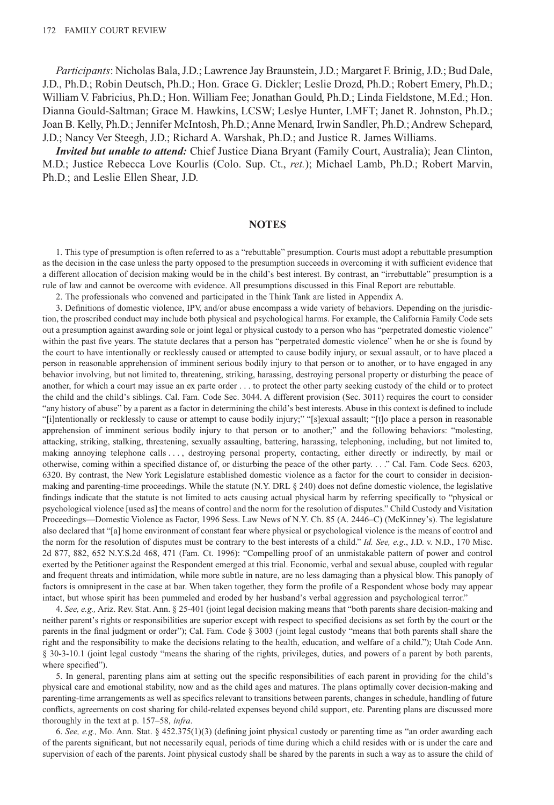*Participants*: Nicholas Bala, J.D.; Lawrence Jay Braunstein, J.D.; Margaret F. Brinig, J.D.; Bud Dale, J.D., Ph.D.; Robin Deutsch, Ph.D.; Hon. Grace G. Dickler; Leslie Drozd, Ph.D.; Robert Emery, Ph.D.; William V. Fabricius, Ph.D.; Hon. William Fee; Jonathan Gould, Ph.D.; Linda Fieldstone, M.Ed.; Hon. Dianna Gould-Saltman; Grace M. Hawkins, LCSW; Leslye Hunter, LMFT; Janet R. Johnston, Ph.D.; Joan B. Kelly, Ph.D.; Jennifer McIntosh, Ph.D.; Anne Menard, Irwin Sandler, Ph.D.; Andrew Schepard, J.D.; Nancy Ver Steegh, J.D.; Richard A. Warshak, Ph.D.; and Justice R. James Williams.

*Invited but unable to attend:* Chief Justice Diana Bryant (Family Court, Australia); Jean Clinton, M.D.; Justice Rebecca Love Kourlis (Colo. Sup. Ct., *ret.*); Michael Lamb, Ph.D.; Robert Marvin, Ph.D.; and Leslie Ellen Shear, J.D.

#### **NOTES**

1. This type of presumption is often referred to as a "rebuttable" presumption. Courts must adopt a rebuttable presumption as the decision in the case unless the party opposed to the presumption succeeds in overcoming it with sufficient evidence that a different allocation of decision making would be in the child's best interest. By contrast, an "irrebuttable" presumption is a rule of law and cannot be overcome with evidence. All presumptions discussed in this Final Report are rebuttable.

2. The professionals who convened and participated in the Think Tank are listed in Appendix A.

3. Definitions of domestic violence, IPV, and/or abuse encompass a wide variety of behaviors. Depending on the jurisdiction, the proscribed conduct may include both physical and psychological harms. For example, the California Family Code sets out a presumption against awarding sole or joint legal or physical custody to a person who has "perpetrated domestic violence" within the past five years. The statute declares that a person has "perpetrated domestic violence" when he or she is found by the court to have intentionally or recklessly caused or attempted to cause bodily injury, or sexual assault, or to have placed a person in reasonable apprehension of imminent serious bodily injury to that person or to another, or to have engaged in any behavior involving, but not limited to, threatening, striking, harassing, destroying personal property or disturbing the peace of another, for which a court may issue an ex parte order . . . to protect the other party seeking custody of the child or to protect the child and the child's siblings. Cal. Fam. Code Sec. 3044. A different provision (Sec. 3011) requires the court to consider "any history of abuse" by a parent as a factor in determining the child's best interests. Abuse in this context is defined to include "[i]ntentionally or recklessly to cause or attempt to cause bodily injury;" "[s]exual assault; "[t]o place a person in reasonable apprehension of imminent serious bodily injury to that person or to another;" and the following behaviors: "molesting, attacking, striking, stalking, threatening, sexually assaulting, battering, harassing, telephoning, including, but not limited to, making annoying telephone calls..., destroying personal property, contacting, either directly or indirectly, by mail or otherwise, coming within a specified distance of, or disturbing the peace of the other party. . . ." Cal. Fam. Code Secs. 6203, 6320. By contrast, the New York Legislature established domestic violence as a factor for the court to consider in decisionmaking and parenting-time proceedings. While the statute (N.Y. DRL § 240) does not define domestic violence, the legislative findings indicate that the statute is not limited to acts causing actual physical harm by referring specifically to "physical or psychological violence [used as] the means of control and the norm for the resolution of disputes." Child Custody and Visitation Proceedings—Domestic Violence as Factor, 1996 Sess. Law News of N.Y. Ch. 85 (A. 2446–C) (McKinney's). The legislature also declared that "[a] home environment of constant fear where physical or psychological violence is the means of control and the norm for the resolution of disputes must be contrary to the best interests of a child." *Id. See, e.g*., J.D. v. N.D., 170 Misc. 2d 877, 882, 652 N.Y.S.2d 468, 471 (Fam. Ct. 1996): "Compelling proof of an unmistakable pattern of power and control exerted by the Petitioner against the Respondent emerged at this trial. Economic, verbal and sexual abuse, coupled with regular and frequent threats and intimidation, while more subtle in nature, are no less damaging than a physical blow. This panoply of factors is omnipresent in the case at bar. When taken together, they form the profile of a Respondent whose body may appear intact, but whose spirit has been pummeled and eroded by her husband's verbal aggression and psychological terror."

4. *See, e.g.,* Ariz. Rev. Stat. Ann. § 25-401 (joint legal decision making means that "both parents share decision-making and neither parent's rights or responsibilities are superior except with respect to specified decisions as set forth by the court or the parents in the final judgment or order"); Cal. Fam. Code § 3003 (joint legal custody "means that both parents shall share the right and the responsibility to make the decisions relating to the health, education, and welfare of a child."); Utah Code Ann. § 30-3-10.1 (joint legal custody "means the sharing of the rights, privileges, duties, and powers of a parent by both parents, where specified").

5. In general, parenting plans aim at setting out the specific responsibilities of each parent in providing for the child's physical care and emotional stability, now and as the child ages and matures. The plans optimally cover decision-making and parenting-time arrangements as well as specifics relevant to transitions between parents, changes in schedule, handling of future conflicts, agreements on cost sharing for child-related expenses beyond child support, etc. Parenting plans are discussed more thoroughly in the text at p. 157–58, *infra*.

6. *See, e.g.,* Mo. Ann. Stat. § 452.375(1)(3) (defining joint physical custody or parenting time as "an order awarding each of the parents significant, but not necessarily equal, periods of time during which a child resides with or is under the care and supervision of each of the parents. Joint physical custody shall be shared by the parents in such a way as to assure the child of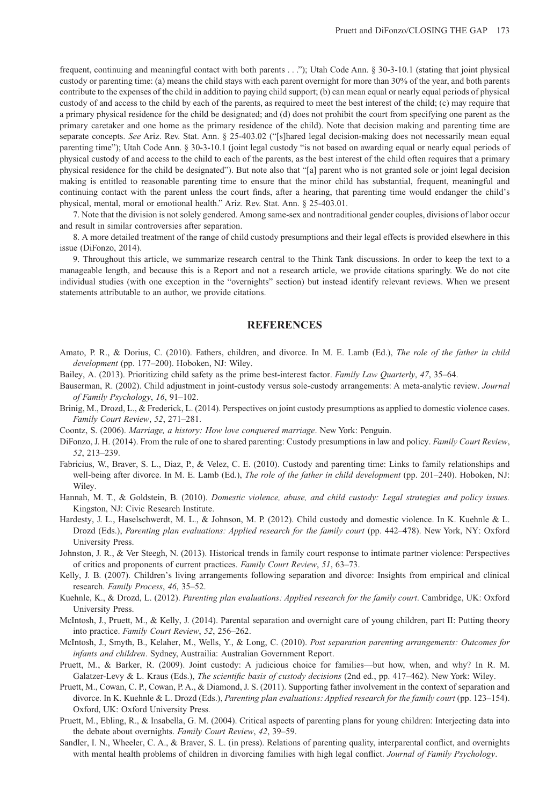frequent, continuing and meaningful contact with both parents . . ."); Utah Code Ann. § 30-3-10.1 (stating that joint physical custody or parenting time: (a) means the child stays with each parent overnight for more than 30% of the year, and both parents contribute to the expenses of the child in addition to paying child support; (b) can mean equal or nearly equal periods of physical custody of and access to the child by each of the parents, as required to meet the best interest of the child; (c) may require that a primary physical residence for the child be designated; and (d) does not prohibit the court from specifying one parent as the primary caretaker and one home as the primary residence of the child). Note that decision making and parenting time are separate concepts. *See* Ariz. Rev. Stat. Ann. § 25-403.02 ("[s]hared legal decision-making does not necessarily mean equal parenting time"); Utah Code Ann. § 30-3-10.1 (joint legal custody "is not based on awarding equal or nearly equal periods of physical custody of and access to the child to each of the parents, as the best interest of the child often requires that a primary physical residence for the child be designated"). But note also that "[a] parent who is not granted sole or joint legal decision making is entitled to reasonable parenting time to ensure that the minor child has substantial, frequent, meaningful and continuing contact with the parent unless the court finds, after a hearing, that parenting time would endanger the child's physical, mental, moral or emotional health." Ariz. Rev. Stat. Ann. § 25-403.01.

7. Note that the division is not solely gendered. Among same-sex and nontraditional gender couples, divisions of labor occur and result in similar controversies after separation.

8. A more detailed treatment of the range of child custody presumptions and their legal effects is provided elsewhere in this issue (DiFonzo, 2014).

9. Throughout this article, we summarize research central to the Think Tank discussions. In order to keep the text to a manageable length, and because this is a Report and not a research article, we provide citations sparingly. We do not cite individual studies (with one exception in the "overnights" section) but instead identify relevant reviews. When we present statements attributable to an author, we provide citations.

#### **REFERENCES**

- Amato, P. R., & Dorius, C. (2010). Fathers, children, and divorce. In M. E. Lamb (Ed.), *The role of the father in child development* (pp. 177–200). Hoboken, NJ: Wiley.
- Bailey, A. (2013). Prioritizing child safety as the prime best-interest factor. *Family Law Quarterly*, *47*, 35–64.
- Bauserman, R. (2002). Child adjustment in joint-custody versus sole-custody arrangements: A meta-analytic review. *Journal of Family Psychology*, *16*, 91–102.
- Brinig, M., Drozd, L., & Frederick, L. (2014). Perspectives on joint custody presumptions as applied to domestic violence cases. *Family Court Review*, *52*, 271–281.

Coontz, S. (2006). *Marriage, a history: How love conquered marriage*. New York: Penguin.

- DiFonzo, J. H. (2014). From the rule of one to shared parenting: Custody presumptions in law and policy. *Family Court Review*, *52*, 213–239.
- Fabricius, W., Braver, S. L., Diaz, P., & Velez, C. E. (2010). Custody and parenting time: Links to family relationships and well-being after divorce. In M. E. Lamb (Ed.), *The role of the father in child development* (pp. 201–240). Hoboken, NJ: Wiley.
- Hannah, M. T., & Goldstein, B. (2010). *Domestic violence, abuse, and child custody: Legal strategies and policy issues.* Kingston, NJ: Civic Research Institute.
- Hardesty, J. L., Haselschwerdt, M. L., & Johnson, M. P. (2012). Child custody and domestic violence. In K. Kuehnle & L. Drozd (Eds.), *Parenting plan evaluations: Applied research for the family court* (pp. 442–478). New York, NY: Oxford University Press.
- Johnston, J. R., & Ver Steegh, N. (2013). Historical trends in family court response to intimate partner violence: Perspectives of critics and proponents of current practices. *Family Court Review*, *51*, 63–73.
- Kelly, J. B. (2007). Children's living arrangements following separation and divorce: Insights from empirical and clinical research. *Family Process*, *46*, 35–52.
- Kuehnle, K., & Drozd, L. (2012). *Parenting plan evaluations: Applied research for the family court*. Cambridge, UK: Oxford University Press.
- McIntosh, J., Pruett, M., & Kelly, J. (2014). Parental separation and overnight care of young children, part II: Putting theory into practice. *Family Court Review*, *52*, 256–262.
- McIntosh, J., Smyth, B., Kelaher, M., Wells, Y., & Long, C. (2010). *Post separation parenting arrangements: Outcomes for infants and children*. Sydney, Austrailia: Australian Government Report.
- Pruett, M., & Barker, R. (2009). Joint custody: A judicious choice for families—but how, when, and why? In R. M. Galatzer-Levy & L. Kraus (Eds.), *The scientific basis of custody decisions* (2nd ed., pp. 417–462). New York: Wiley.
- Pruett, M., Cowan, C. P., Cowan, P. A., & Diamond, J. S. (2011). Supporting father involvement in the context of separation and divorce. In K. Kuehnle & L. Drozd (Eds.), *Parenting plan evaluations: Applied research for the family court* (pp. 123–154). Oxford, UK: Oxford University Press*.*
- Pruett, M., Ebling, R., & Insabella, G. M. (2004). Critical aspects of parenting plans for young children: Interjecting data into the debate about overnights. *Family Court Review*, *42*, 39–59.
- Sandler, I. N., Wheeler, C. A., & Braver, S. L. (in press). Relations of parenting quality, interparental conflict, and overnights with mental health problems of children in divorcing families with high legal conflict. *Journal of Family Psychology*.